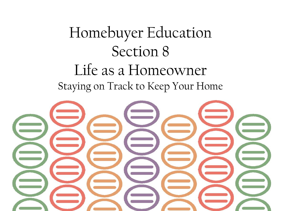# Homebuyer Education Section 8 Life as a Homeowner Staying on Track to Keep Your Home

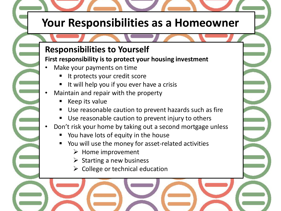## **Your Responsibilities as a Homeowner**

#### **Responsibilities to Yourself**

#### **First responsibility is to protect your housing investment**

- Make your payments on time
	- It protects your credit score
	- It will help you if you ever have a crisis
- Maintain and repair with the property
	- Keep its value
	- Use reasonable caution to prevent hazards such as fire
	- Use reasonable caution to prevent injury to others
- Don't risk your home by taking out a second mortgage unless
	- You have lots of equity in the house
	- You will use the money for asset-related activities
		- $\triangleright$  Home improvement
		- $\triangleright$  Starting a new business
		- $\triangleright$  College or technical education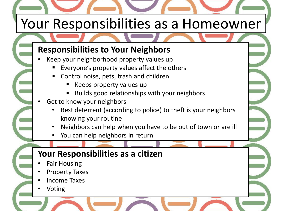# Your Responsibilities as a Homeowner

## **Responsibilities to Your Neighbors**

- Keep your neighborhood property values up
	- Everyone's property values affect the others
	- Control noise, pets, trash and children
		- Keeps property values up
		- Builds good relationships with your neighbors
- Get to know your neighbors
	- Best deterrent (according to police) to theft is your neighbors knowing your routine
	- Neighbors can help when you have to be out of town or are ill
	- You can help neighbors in return

## **Your Responsibilities as a citizen**

- Fair Housing
- Property Taxes
- Income Taxes
- Voting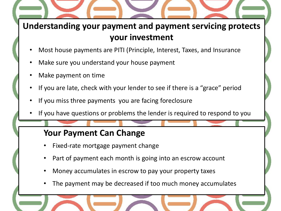## **Understanding your payment and payment servicing protects your investment**

- Most house payments are PITI (Principle, Interest, Taxes, and Insurance
- Make sure you understand your house payment
- Make payment on time
- If you are late, check with your lender to see if there is a "grace" period
- If you miss three payments you are facing foreclosure
- If you have questions or problems the lender is required to respond to you

#### **Your Payment Can Change**

- Fixed-rate mortgage payment change
- Part of payment each month is going into an escrow account
- Money accumulates in escrow to pay your property taxes
- The payment may be decreased if too much money accumulates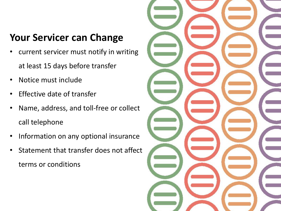## **Your Servicer can Change**

- current servicer must notify in writing at least 15 days before transfer
- Notice must include
- Effective date of transfer
- Name, address, and toll-free or collect call telephone
- Information on any optional insurance
- Statement that transfer does not affect terms or conditions

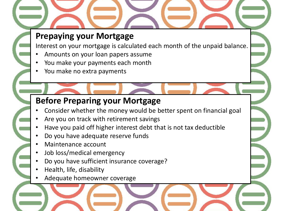## **Prepaying your Mortgage**

Interest on your mortgage is calculated each month of the unpaid balance.

- Amounts on your loan papers assume
- You make your payments each month
- You make no extra payments

## **Before Preparing your Mortgage**

- Consider whether the money would be better spent on financial goal
- Are you on track with retirement savings
- Have you paid off higher interest debt that is not tax deductible
- Do you have adequate reserve funds
- Maintenance account
- Job loss/medical emergency
- Do you have sufficient insurance coverage?
- Health, life, disability
- Adequate homeowner coverage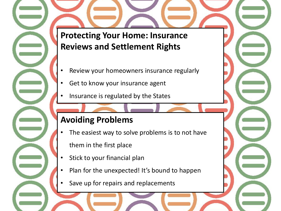**Protecting Your Home: Insurance Reviews and Settlement Rights**

- Review your homeowners insurance regularly
- Get to know your insurance agent
- Insurance is regulated by the States

## **Avoiding Problems**

- The easiest way to solve problems is to not have them in the first place
- Stick to your financial plan
- Plan for the unexpected! It's bound to happen
- Save up for repairs and replacements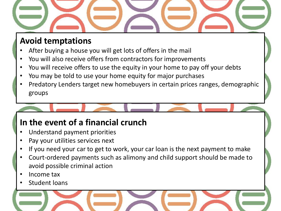

## **Avoid temptations**

- After buying a house you will get lots of offers in the mail
- You will also receive offers from contractors for improvements
- You will receive offers to use the equity in your home to pay off your debts
- You may be told to use your home equity for major purchases
- Predatory Lenders target new homebuyers in certain prices ranges, demographic groups

## **In the event of a financial crunch**

- Understand payment priorities
- Pay your utilities services next
- If you need your car to get to work, your car loan is the next payment to make
- Court-ordered payments such as alimony and child support should be made to avoid possible criminal action
- Income tax
- Student loans